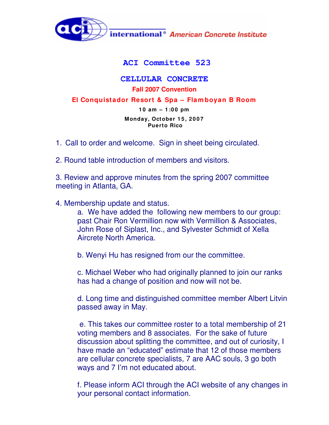

## **ACI Committee 523**

## **CELLULAR CONCRETE Fall 2007 Convention**

**El Conquistador Resort & Spa – Flam boyan B Room**

**1 0 am – 1 :0 0 pm Monday, October 1 5 , 2 0 0 7 Puerto Rico**

- 1. Call to order and welcome. Sign in sheet being circulated.
- 2. Round table introduction of members and visitors.

3. Review and approve minutes from the spring 2007 committee meeting in Atlanta, GA.

4. Membership update and status.

a. We have added the following new members to our group: past Chair Ron Vermillion now with Vermillion & Associates, John Rose of Siplast, Inc., and Sylvester Schmidt of Xella Aircrete North America.

b. Wenyi Hu has resigned from our the committee.

c. Michael Weber who had originally planned to join our ranks has had a change of position and now will not be.

d. Long time and distinguished committee member Albert Litvin passed away in May.

e. This takes our committee roster to a total membership of 21 voting members and 8 associates. For the sake of future discussion about splitting the committee, and out of curiosity, I have made an "educated" estimate that 12 of those members are cellular concrete specialists, 7 are AAC souls, 3 go both ways and 7 I'm not educated about.

f. Please inform ACI through the ACI website of any changes in your personal contact information.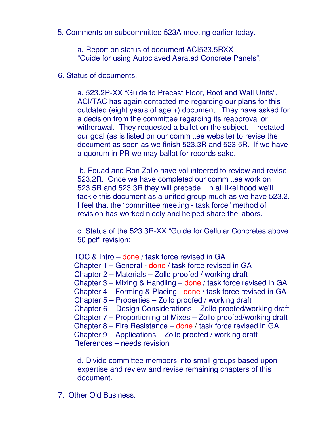5. Comments on subcommittee 523A meeting earlier today.

a. Report on status of document ACI523.5RXX "Guide for using Autoclaved Aerated Concrete Panels".

6. Status of documents.

a. 523.2R-XX "Guide to Precast Floor, Roof and Wall Units". ACI/TAC has again contacted me regarding our plans for this outdated (eight years of age +) document. They have asked for a decision from the committee regarding its reapproval or withdrawal. They requested a ballot on the subject. I restated our goal (as is listed on our committee website) to revise the document as soon as we finish 523.3R and 523.5R. If we have a quorum in PR we may ballot for records sake.

b. Fouad and Ron Zollo have volunteered to review and revise 523.2R. Once we have completed our committee work on 523.5R and 523.3R they will precede. In all likelihood we'll tackle this document as a united group much as we have 523.2. I feel that the "committee meeting - task force" method of revision has worked nicely and helped share the labors.

c. Status of the 523.3R-XX "Guide for Cellular Concretes above 50 pcf" revision:

TOC & Intro – done / task force revised in GA Chapter 1 – General - done / task force revised in GA Chapter 2 – Materials – Zollo proofed / working draft Chapter 3 – Mixing & Handling – done / task force revised in GA Chapter 4 – Forming & Placing - done / task force revised in GA Chapter 5 – Properties – Zollo proofed / working draft Chapter 6 - Design Considerations – Zollo proofed/working draft Chapter 7 – Proportioning of Mixes – Zollo proofed/working draft Chapter 8 – Fire Resistance – done / task force revised in GA Chapter 9 – Applications – Zollo proofed / working draft References – needs revision

d. Divide committee members into small groups based upon expertise and review and revise remaining chapters of this document.

7. Other Old Business.